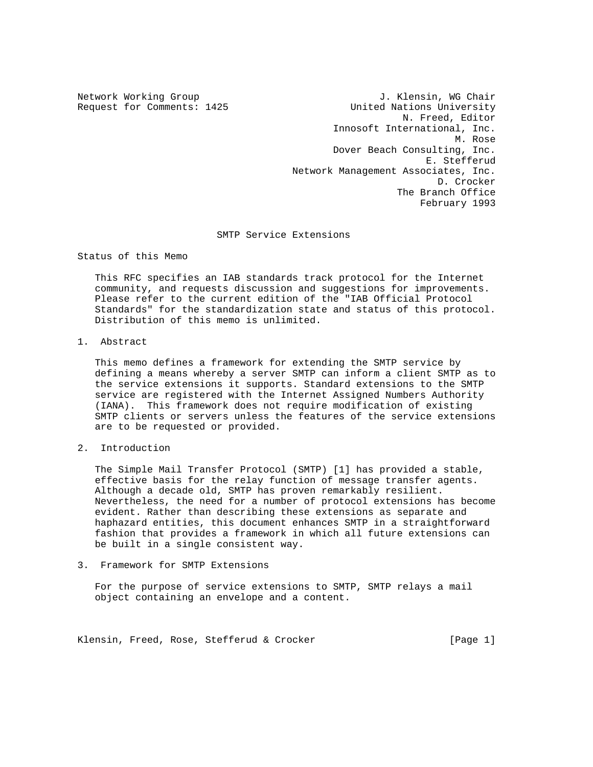Network Working Group 30 and 1. Klensin, WG Chair Request for Comments: 1425 United Nations University N. Freed, Editor Innosoft International, Inc. M. Rose Dover Beach Consulting, Inc. E. Stefferud Network Management Associates, Inc. D. Crocker The Branch Office February 1993

# SMTP Service Extensions

Status of this Memo

 This RFC specifies an IAB standards track protocol for the Internet community, and requests discussion and suggestions for improvements. Please refer to the current edition of the "IAB Official Protocol Standards" for the standardization state and status of this protocol. Distribution of this memo is unlimited.

1. Abstract

 This memo defines a framework for extending the SMTP service by defining a means whereby a server SMTP can inform a client SMTP as to the service extensions it supports. Standard extensions to the SMTP service are registered with the Internet Assigned Numbers Authority (IANA). This framework does not require modification of existing SMTP clients or servers unless the features of the service extensions are to be requested or provided.

# 2. Introduction

 The Simple Mail Transfer Protocol (SMTP) [1] has provided a stable, effective basis for the relay function of message transfer agents. Although a decade old, SMTP has proven remarkably resilient. Nevertheless, the need for a number of protocol extensions has become evident. Rather than describing these extensions as separate and haphazard entities, this document enhances SMTP in a straightforward fashion that provides a framework in which all future extensions can be built in a single consistent way.

# 3. Framework for SMTP Extensions

 For the purpose of service extensions to SMTP, SMTP relays a mail object containing an envelope and a content.

Klensin, Freed, Rose, Stefferud & Crocker [Page 1]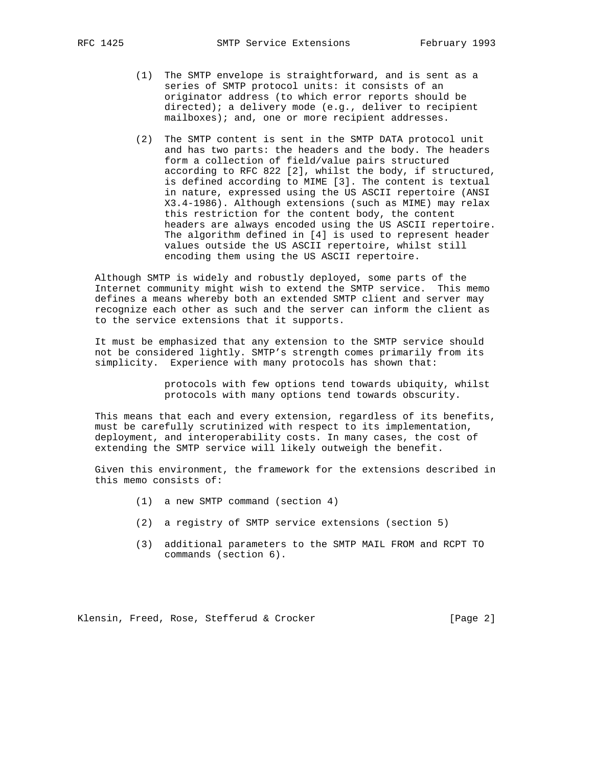- (1) The SMTP envelope is straightforward, and is sent as a series of SMTP protocol units: it consists of an originator address (to which error reports should be directed); a delivery mode (e.g., deliver to recipient mailboxes); and, one or more recipient addresses.
- (2) The SMTP content is sent in the SMTP DATA protocol unit and has two parts: the headers and the body. The headers form a collection of field/value pairs structured according to RFC 822 [2], whilst the body, if structured, is defined according to MIME [3]. The content is textual in nature, expressed using the US ASCII repertoire (ANSI X3.4-1986). Although extensions (such as MIME) may relax this restriction for the content body, the content headers are always encoded using the US ASCII repertoire. The algorithm defined in [4] is used to represent header values outside the US ASCII repertoire, whilst still encoding them using the US ASCII repertoire.

 Although SMTP is widely and robustly deployed, some parts of the Internet community might wish to extend the SMTP service. This memo defines a means whereby both an extended SMTP client and server may recognize each other as such and the server can inform the client as to the service extensions that it supports.

 It must be emphasized that any extension to the SMTP service should not be considered lightly. SMTP's strength comes primarily from its simplicity. Experience with many protocols has shown that:

> protocols with few options tend towards ubiquity, whilst protocols with many options tend towards obscurity.

 This means that each and every extension, regardless of its benefits, must be carefully scrutinized with respect to its implementation, deployment, and interoperability costs. In many cases, the cost of extending the SMTP service will likely outweigh the benefit.

 Given this environment, the framework for the extensions described in this memo consists of:

- (1) a new SMTP command (section 4)
- (2) a registry of SMTP service extensions (section 5)
- (3) additional parameters to the SMTP MAIL FROM and RCPT TO commands (section 6).

Klensin, Freed, Rose, Stefferud & Crocker [Page 2]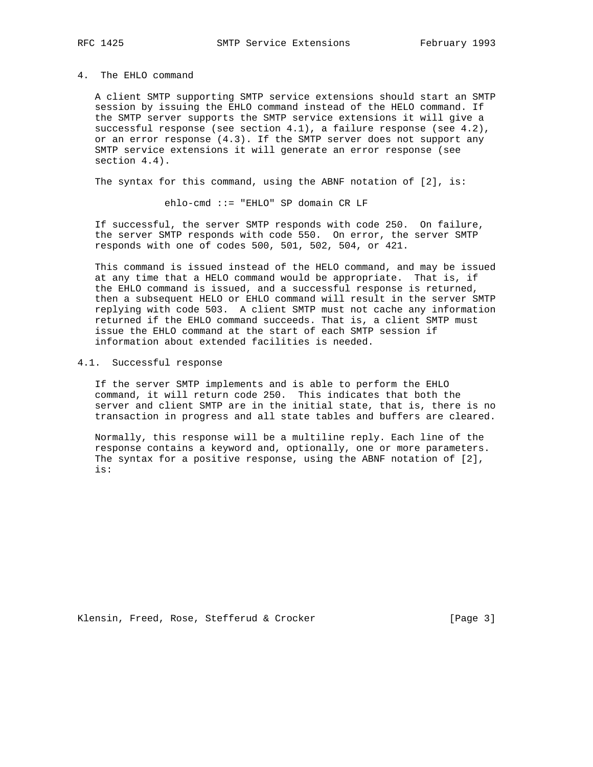#### 4. The EHLO command

 A client SMTP supporting SMTP service extensions should start an SMTP session by issuing the EHLO command instead of the HELO command. If the SMTP server supports the SMTP service extensions it will give a successful response (see section  $4.1$ ), a failure response (see  $4.2$ ), or an error response (4.3). If the SMTP server does not support any SMTP service extensions it will generate an error response (see section 4.4).

The syntax for this command, using the ABNF notation of [2], is:

ehlo-cmd ::= "EHLO" SP domain CR LF

 If successful, the server SMTP responds with code 250. On failure, the server SMTP responds with code 550. On error, the server SMTP responds with one of codes 500, 501, 502, 504, or 421.

 This command is issued instead of the HELO command, and may be issued at any time that a HELO command would be appropriate. That is, if the EHLO command is issued, and a successful response is returned, then a subsequent HELO or EHLO command will result in the server SMTP replying with code 503. A client SMTP must not cache any information returned if the EHLO command succeeds. That is, a client SMTP must issue the EHLO command at the start of each SMTP session if information about extended facilities is needed.

### 4.1. Successful response

 If the server SMTP implements and is able to perform the EHLO command, it will return code 250. This indicates that both the server and client SMTP are in the initial state, that is, there is no transaction in progress and all state tables and buffers are cleared.

 Normally, this response will be a multiline reply. Each line of the response contains a keyword and, optionally, one or more parameters. The syntax for a positive response, using the ABNF notation of [2], is:

Klensin, Freed, Rose, Stefferud & Crocker [Page 3]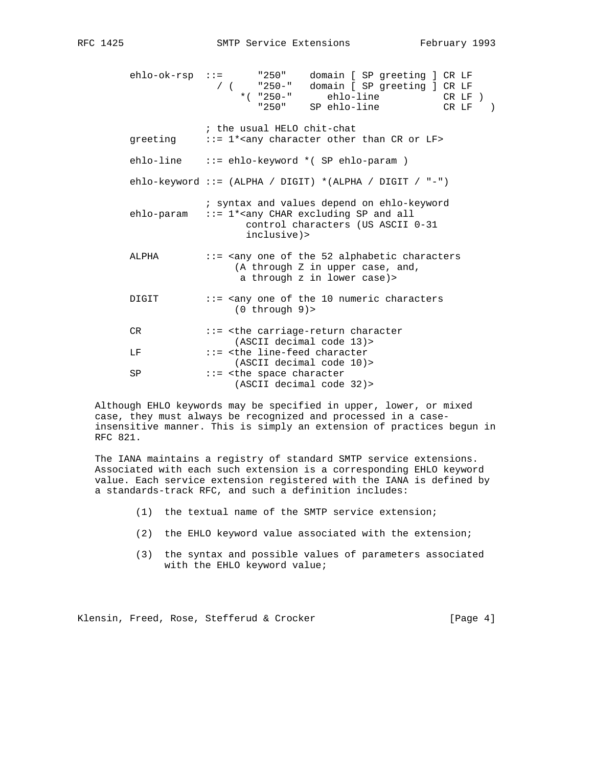ehlo-ok-rsp ::= "250" domain [ SP greeting ] CR LF / ( "250-" domain [ SP greeting ] CR LF \*( "250-" ehlo-line CR LF ) "250" SP ehlo-line CR LF ) ; the usual HELO chit-chat greeting  $\therefore$  := 1\*<any character other than CR or LF> ehlo-line ::= ehlo-keyword \*( SP ehlo-param ) ehlo-keyword ::= (ALPHA / DIGIT) \*(ALPHA / DIGIT / "-") ; syntax and values depend on ehlo-keyword  $ehlo$ -param  $\cdots$  = 1\*<any CHAR excluding SP and all control characters (US ASCII 0-31 inclusive)> ALPHA ::= <any one of the 52 alphabetic characters (A through Z in upper case, and, a through z in lower case)> DIGIT ::= <any one of the 10 numeric characters (0 through 9)> CR ::= <the carriage-return character (ASCII decimal code 13)> LF ::= <the line-feed character (ASCII decimal code 10)> SP ::= <the space character (ASCII decimal code 32)>

 Although EHLO keywords may be specified in upper, lower, or mixed case, they must always be recognized and processed in a case insensitive manner. This is simply an extension of practices begun in RFC 821.

 The IANA maintains a registry of standard SMTP service extensions. Associated with each such extension is a corresponding EHLO keyword value. Each service extension registered with the IANA is defined by a standards-track RFC, and such a definition includes:

- (1) the textual name of the SMTP service extension;
- (2) the EHLO keyword value associated with the extension;
- (3) the syntax and possible values of parameters associated with the EHLO keyword value;

Klensin, Freed, Rose, Stefferud & Crocker [Page 4]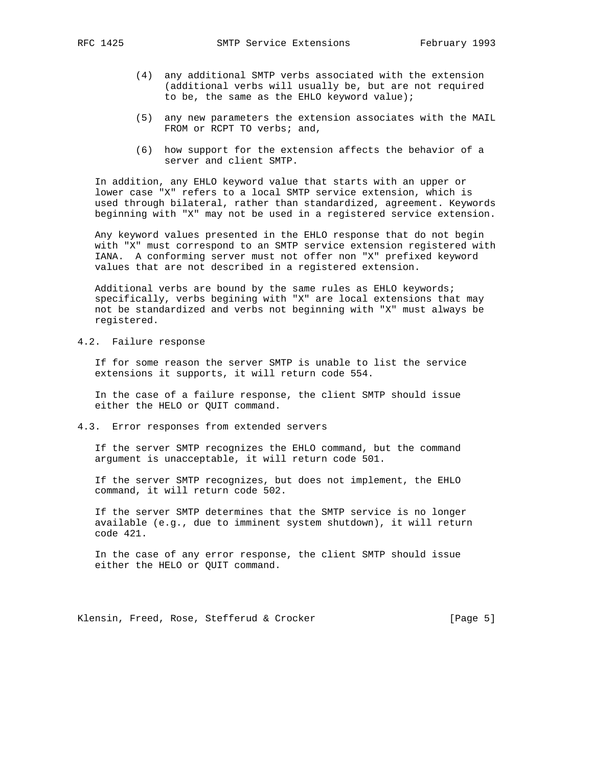- (4) any additional SMTP verbs associated with the extension (additional verbs will usually be, but are not required to be, the same as the EHLO keyword value);
- (5) any new parameters the extension associates with the MAIL FROM or RCPT TO verbs; and,
- (6) how support for the extension affects the behavior of a server and client SMTP.

 In addition, any EHLO keyword value that starts with an upper or lower case "X" refers to a local SMTP service extension, which is used through bilateral, rather than standardized, agreement. Keywords beginning with "X" may not be used in a registered service extension.

 Any keyword values presented in the EHLO response that do not begin with "X" must correspond to an SMTP service extension registered with IANA. A conforming server must not offer non "X" prefixed keyword values that are not described in a registered extension.

 Additional verbs are bound by the same rules as EHLO keywords; specifically, verbs begining with "X" are local extensions that may not be standardized and verbs not beginning with "X" must always be registered.

4.2. Failure response

 If for some reason the server SMTP is unable to list the service extensions it supports, it will return code 554.

 In the case of a failure response, the client SMTP should issue either the HELO or QUIT command.

4.3. Error responses from extended servers

 If the server SMTP recognizes the EHLO command, but the command argument is unacceptable, it will return code 501.

 If the server SMTP recognizes, but does not implement, the EHLO command, it will return code 502.

 If the server SMTP determines that the SMTP service is no longer available (e.g., due to imminent system shutdown), it will return code 421.

 In the case of any error response, the client SMTP should issue either the HELO or QUIT command.

Klensin, Freed, Rose, Stefferud & Crocker [Page 5]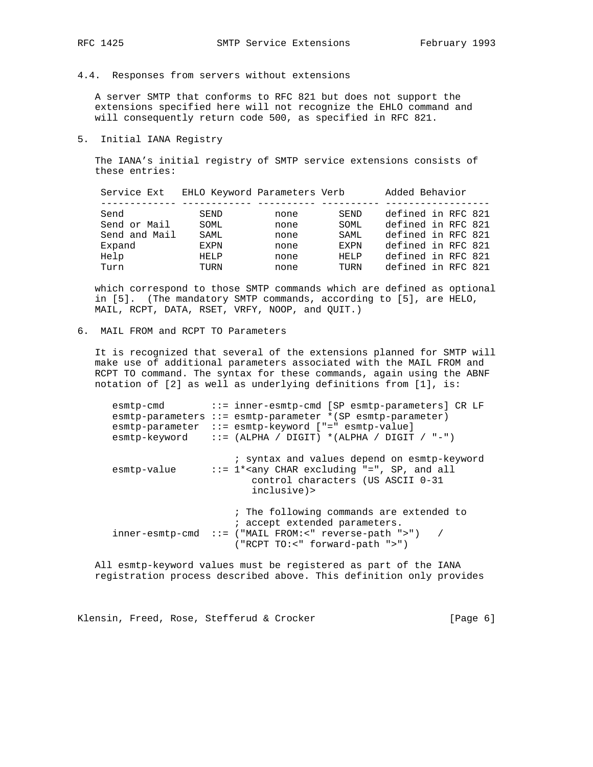### 4.4. Responses from servers without extensions

 A server SMTP that conforms to RFC 821 but does not support the extensions specified here will not recognize the EHLO command and will consequently return code 500, as specified in RFC 821.

### 5. Initial IANA Registry

 The IANA's initial registry of SMTP service extensions consists of these entries:

| Service Ext   | EHLO Keyword Parameters Verb |      |             | Added Behavior     |
|---------------|------------------------------|------|-------------|--------------------|
|               |                              |      |             |                    |
| Send          | SEND                         | none | SEND        | defined in RFC 821 |
| Send or Mail  | SOML                         | none | SOML        | defined in RFC 821 |
| Send and Mail | SAML                         | none | SAML.       | defined in RFC 821 |
| Expand        | EXPN                         | none | <b>EXPN</b> | defined in RFC 821 |
| Help          | HELP                         | none | HELP        | defined in RFC 821 |
| Turn          | TURN                         | none | TURN        | defined in RFC 821 |

 which correspond to those SMTP commands which are defined as optional in [5]. (The mandatory SMTP commands, according to [5], are HELO, MAIL, RCPT, DATA, RSET, VRFY, NOOP, and QUIT.)

# 6. MAIL FROM and RCPT TO Parameters

 It is recognized that several of the extensions planned for SMTP will make use of additional parameters associated with the MAIL FROM and RCPT TO command. The syntax for these commands, again using the ABNF notation of [2] as well as underlying definitions from [1], is:

| esmtp-cmd   | ::= inner-esmtp-cmd [SP esmtp-parameters] CR LF<br>$esmtp-parameters :: = esmtp-parameter * (SP esmtp-parameter)$<br>esmtp-parameter ::= esmtp-keyword ["=" esmtp-value]<br>$esmtp-keyword$ ::= (ALPHA / DIGIT) *(ALPHA / DIGIT / "-") |
|-------------|----------------------------------------------------------------------------------------------------------------------------------------------------------------------------------------------------------------------------------------|
| esmtp-value | ; syntax and values depend on esmtp-keyword<br>$::= 1 * any CHAR excluding "=", SP, and all$<br>control characters (US ASCII 0-31<br>inclusive)>                                                                                       |
|             | ; The following commands are extended to<br>; accept extended parameters.<br>$inner-esmtp-cmd :: =$ ("MAIL FROM:<" reverse-path ">") /<br>$("RCPT TO:~" forward-path ">\")$                                                            |

 All esmtp-keyword values must be registered as part of the IANA registration process described above. This definition only provides

Klensin, Freed, Rose, Stefferud & Crocker [Page 6]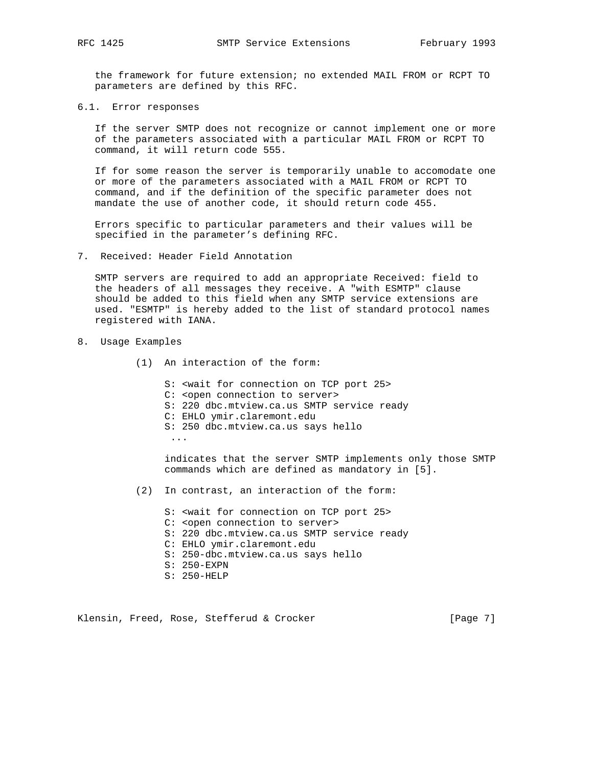the framework for future extension; no extended MAIL FROM or RCPT TO parameters are defined by this RFC.

6.1. Error responses

 If the server SMTP does not recognize or cannot implement one or more of the parameters associated with a particular MAIL FROM or RCPT TO command, it will return code 555.

 If for some reason the server is temporarily unable to accomodate one or more of the parameters associated with a MAIL FROM or RCPT TO command, and if the definition of the specific parameter does not mandate the use of another code, it should return code 455.

 Errors specific to particular parameters and their values will be specified in the parameter's defining RFC.

7. Received: Header Field Annotation

 SMTP servers are required to add an appropriate Received: field to the headers of all messages they receive. A "with ESMTP" clause should be added to this field when any SMTP service extensions are used. "ESMTP" is hereby added to the list of standard protocol names registered with IANA.

- 8. Usage Examples
	- (1) An interaction of the form:
		- S: <wait for connection on TCP port 25>
		- C: <open connection to server>
		- S: 220 dbc.mtview.ca.us SMTP service ready
		- C: EHLO ymir.claremont.edu
		- S: 250 dbc.mtview.ca.us says hello

...

 indicates that the server SMTP implements only those SMTP commands which are defined as mandatory in [5].

- (2) In contrast, an interaction of the form:
	- S: <wait for connection on TCP port 25> C: <open connection to server> S: 220 dbc.mtview.ca.us SMTP service ready C: EHLO ymir.claremont.edu S: 250-dbc.mtview.ca.us says hello S: 250-EXPN S: 250-HELP

Klensin, Freed, Rose, Stefferud & Crocker [Page 7]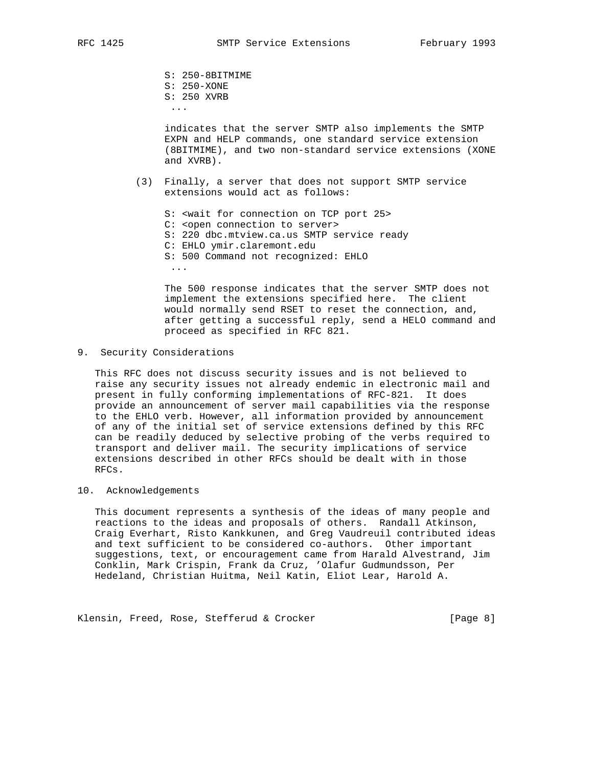S: 250-8BITMIME S: 250-XONE S: 250 XVRB ...

> indicates that the server SMTP also implements the SMTP EXPN and HELP commands, one standard service extension (8BITMIME), and two non-standard service extensions (XONE and XVRB).

 (3) Finally, a server that does not support SMTP service extensions would act as follows:

 S: <wait for connection on TCP port 25> C: <open connection to server> S: 220 dbc.mtview.ca.us SMTP service ready C: EHLO ymir.claremont.edu S: 500 Command not recognized: EHLO ...

 The 500 response indicates that the server SMTP does not implement the extensions specified here. The client would normally send RSET to reset the connection, and, after getting a successful reply, send a HELO command and proceed as specified in RFC 821.

9. Security Considerations

 This RFC does not discuss security issues and is not believed to raise any security issues not already endemic in electronic mail and present in fully conforming implementations of RFC-821. It does provide an announcement of server mail capabilities via the response to the EHLO verb. However, all information provided by announcement of any of the initial set of service extensions defined by this RFC can be readily deduced by selective probing of the verbs required to transport and deliver mail. The security implications of service extensions described in other RFCs should be dealt with in those RFCs.

## 10. Acknowledgements

 This document represents a synthesis of the ideas of many people and reactions to the ideas and proposals of others. Randall Atkinson, Craig Everhart, Risto Kankkunen, and Greg Vaudreuil contributed ideas and text sufficient to be considered co-authors. Other important suggestions, text, or encouragement came from Harald Alvestrand, Jim Conklin, Mark Crispin, Frank da Cruz, 'Olafur Gudmundsson, Per Hedeland, Christian Huitma, Neil Katin, Eliot Lear, Harold A.

Klensin, Freed, Rose, Stefferud & Crocker [Page 8]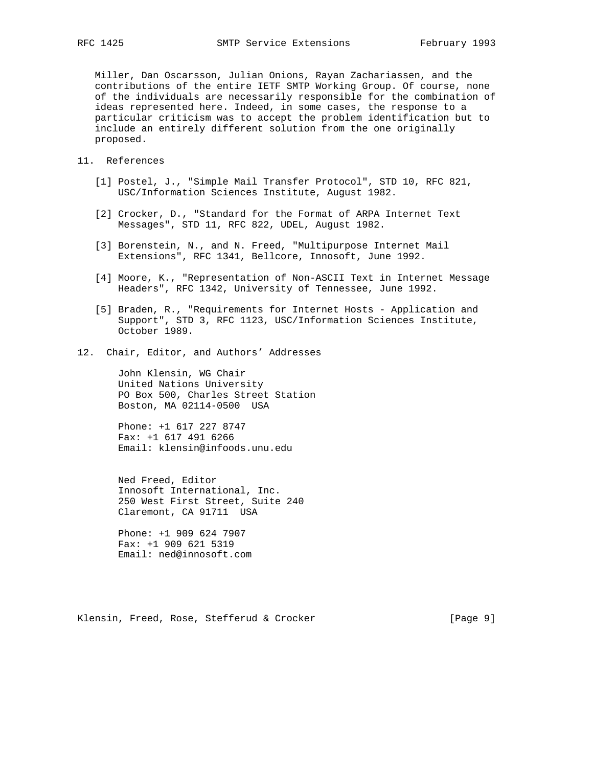Miller, Dan Oscarsson, Julian Onions, Rayan Zachariassen, and the contributions of the entire IETF SMTP Working Group. Of course, none of the individuals are necessarily responsible for the combination of ideas represented here. Indeed, in some cases, the response to a particular criticism was to accept the problem identification but to include an entirely different solution from the one originally proposed.

- 11. References
	- [1] Postel, J., "Simple Mail Transfer Protocol", STD 10, RFC 821, USC/Information Sciences Institute, August 1982.
	- [2] Crocker, D., "Standard for the Format of ARPA Internet Text Messages", STD 11, RFC 822, UDEL, August 1982.
	- [3] Borenstein, N., and N. Freed, "Multipurpose Internet Mail Extensions", RFC 1341, Bellcore, Innosoft, June 1992.
	- [4] Moore, K., "Representation of Non-ASCII Text in Internet Message Headers", RFC 1342, University of Tennessee, June 1992.
	- [5] Braden, R., "Requirements for Internet Hosts Application and Support", STD 3, RFC 1123, USC/Information Sciences Institute, October 1989.
- 12. Chair, Editor, and Authors' Addresses

 John Klensin, WG Chair United Nations University PO Box 500, Charles Street Station Boston, MA 02114-0500 USA

 Phone: +1 617 227 8747 Fax: +1 617 491 6266 Email: klensin@infoods.unu.edu

 Ned Freed, Editor Innosoft International, Inc. 250 West First Street, Suite 240 Claremont, CA 91711 USA

 Phone: +1 909 624 7907 Fax: +1 909 621 5319 Email: ned@innosoft.com